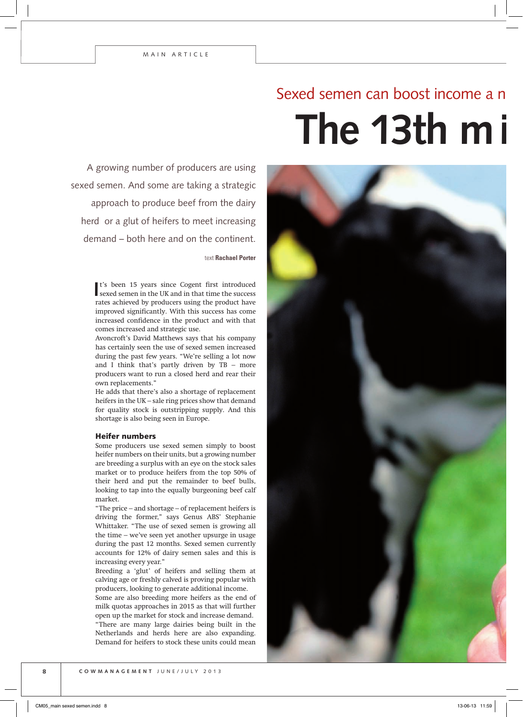**The 13th milk cheque?** Sexed semen can boost income a

A growing number of producers are using sexed semen. And some are taking a strategic approach to produce beef from the dairy herd or a glut of heifers to meet increasing demand – both here and on the continent.

text **Rachael Porter**

It's been 15 years since Cogent first introduced sexed semen in the UK and in that time the success t's been 15 years since Cogent first introduced rates achieved by producers using the product have improved significantly. With this success has come increased confidence in the product and with that comes increased and strategic use.

Avoncroft's David Matthews says that his company has certainly seen the use of sexed semen increased during the past few years. "We're selling a lot now and I think that's partly driven by  $TB$  – more producers want to run a closed herd and rear their own replacements."

He adds that there's also a shortage of replacement heifers in the UK – sale ring prices show that demand for quality stock is outstripping supply. And this shortage is also being seen in Europe.

## Heifer numbers

Some producers use sexed semen simply to boost heifer numbers on their units, but a growing number are breeding a surplus with an eye on the stock sales market or to produce heifers from the top 50% of their herd and put the remainder to beef bulls, looking to tap into the equally burgeoning beef calf market.

"The price – and shortage – of replacement heifers is driving the former," says Genus ABS' Stephanie Whittaker. "The use of sexed semen is growing all the time – we've seen yet another upsurge in usage during the past 12 months. Sexed semen currently accounts for 12% of dairy semen sales and this is increasing every year."

Breeding a 'glut' of heifers and selling them at calving age or freshly calved is proving popular with producers, looking to generate additional income.

Some are also breeding more heifers as the end of milk quotas approaches in 2015 as that will further open up the market for stock and increase demand. "There are many large dairies being built in the Netherlands and herds here are also expanding. Demand for heifers to stock these units could mean

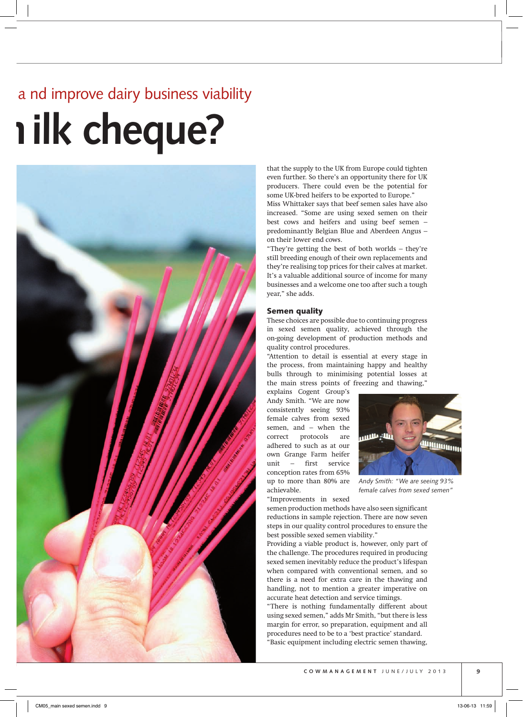# **ilk cheque?** nd improve dairy business viability



that the supply to the UK from Europe could tighten even further. So there's an opportunity there for UK producers. There could even be the potential for some UK-bred heifers to be exported to Europe."

Miss Whittaker says that beef semen sales have also increased. "Some are using sexed semen on their best cows and heifers and using beef semen – predominantly Belgian Blue and Aberdeen Angus – on their lower end cows.

"They're getting the best of both worlds – they're still breeding enough of their own replacements and they're realising top prices for their calves at market. It's a valuable additional source of income for many businesses and a welcome one too after such a tough year," she adds.

## Semen quality

These choices are possible due to continuing progress in sexed semen quality, achieved through the on-going development of production methods and quality control procedures.

"Attention to detail is essential at every stage in the process, from maintaining happy and healthy bulls through to minimising potential losses at the main stress points of freezing and thawing,"

explains Cogent Group's Andy Smith. "We are now consistently seeing 93% female calves from sexed semen, and – when the correct protocols are adhered to such as at our own Grange Farm heifer unit – first service conception rates from 65% up to more than 80% are achievable.



*Andy Smith: "We are seeing 93% female calves from sexed semen"*

"Improvements in sexed

semen production methods have also seen significant reductions in sample rejection. There are now seven steps in our quality control procedures to ensure the best possible sexed semen viability."

Providing a viable product is, however, only part of the challenge. The procedures required in producing sexed semen inevitably reduce the product's lifespan when compared with conventional semen, and so there is a need for extra care in the thawing and handling, not to mention a greater imperative on accurate heat detection and service timings.

"There is nothing fundamentally different about using sexed semen," adds Mr Smith, "but there is less margin for error, so preparation, equipment and all procedures need to be to a 'best practice' standard. "Basic equipment including electric semen thawing,